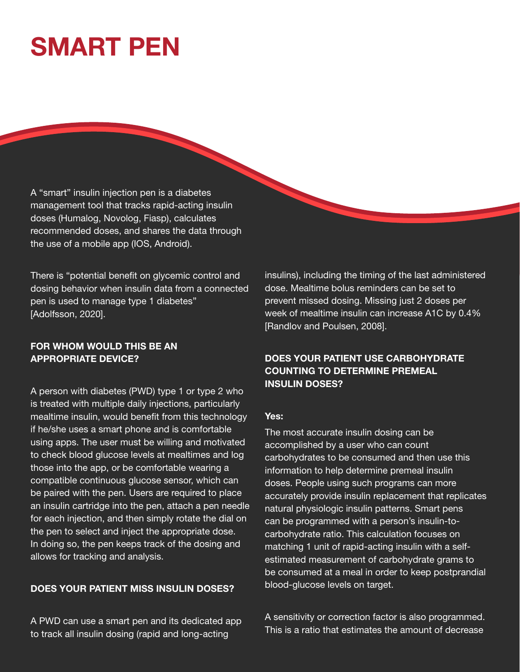# **SMART PEN**

A "smart" insulin injection pen is a diabetes management tool that tracks rapid-acting insulin doses (Humalog, Novolog, Fiasp), calculates recommended doses, and shares the data through the use of a mobile app (IOS, Android).

There is "potential benefit on glycemic control and dosing behavior when insulin data from a connected pen is used to manage type 1 diabetes" [Adolfsson, 2020].

## FOR WHOM WOULD THIS BE AN APPROPRIATE DEVICE?

A person with diabetes (PWD) type 1 or type 2 who is treated with multiple daily injections, particularly mealtime insulin, would benefit from this technology if he/she uses a smart phone and is comfortable using apps. The user must be willing and motivated to check blood glucose levels at mealtimes and log those into the app, or be comfortable wearing a compatible continuous glucose sensor, which can be paired with the pen. Users are required to place an insulin cartridge into the pen, attach a pen needle for each injection, and then simply rotate the dial on the pen to select and inject the appropriate dose. In doing so, the pen keeps track of the dosing and allows for tracking and analysis.

### DOES YOUR PATIENT MISS INSULIN DOSES?

A PWD can use a smart pen and its dedicated app to track all insulin dosing (rapid and long-acting

insulins), including the timing of the last administered dose. Mealtime bolus reminders can be set to prevent missed dosing. Missing just 2 doses per week of mealtime insulin can increase A1C by 0.4% [Randlov and Poulsen, 2008].

## DOES YOUR PATIENT USE CARBOHYDRATE COUNTING TO DETERMINE PREMEAL INSULIN DOSES?

#### Yes:

The most accurate insulin dosing can be accomplished by a user who can count carbohydrates to be consumed and then use this information to help determine premeal insulin doses. People using such programs can more accurately provide insulin replacement that replicates natural physiologic insulin patterns. Smart pens can be programmed with a person's insulin-tocarbohydrate ratio. This calculation focuses on matching 1 unit of rapid-acting insulin with a selfestimated measurement of carbohydrate grams to be consumed at a meal in order to keep postprandial blood-glucose levels on target.

A sensitivity or correction factor is also programmed. This is a ratio that estimates the amount of decrease